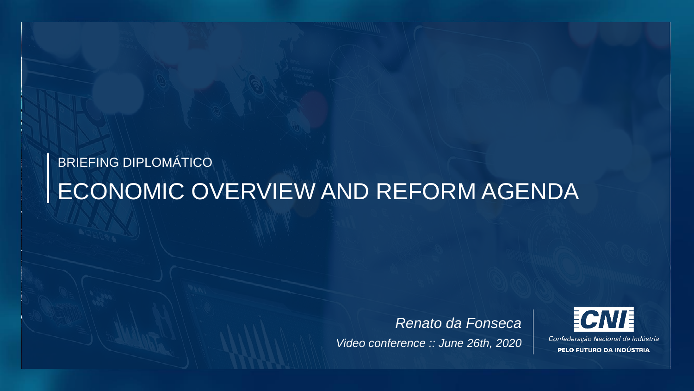# BRIEFING DIPLOMÁTICO ECONOMIC OVERVIEW AND REFORM AGENDA

*Renato da Fonseca Video conference :: June 26th, 2020*



Confederação Nacional da Indústria PELO FUTURO DA INDÚSTRIA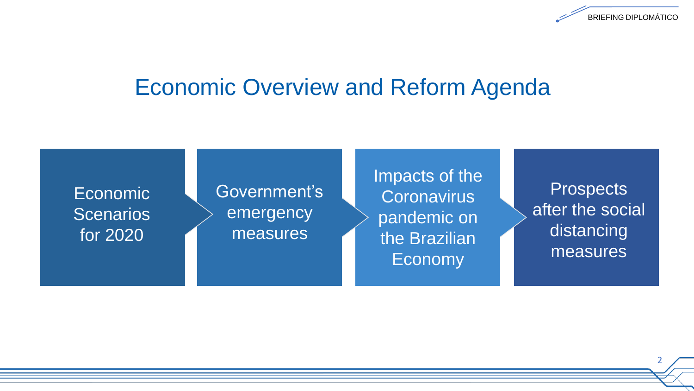

Economic **Scenarios** for 2020

Government's emergency measures

Impacts of the **Coronavirus** pandemic on the Brazilian Economy

**Prospects** after the social distancing measures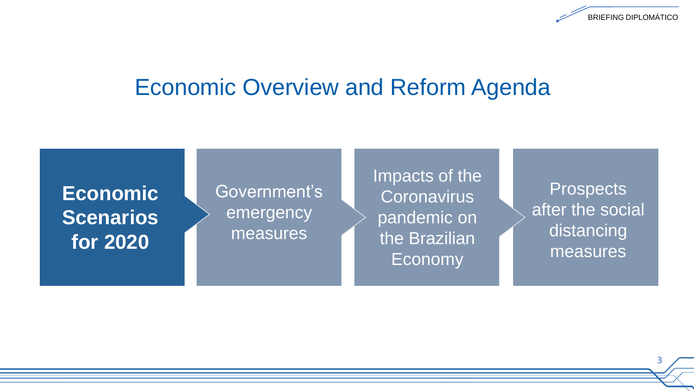

### **Economic Scenarios for 2020**

### Government's emergency measures

Impacts of the **Coronavirus** pandemic on the Brazilian Economy

**Prospects** after the social distancing measures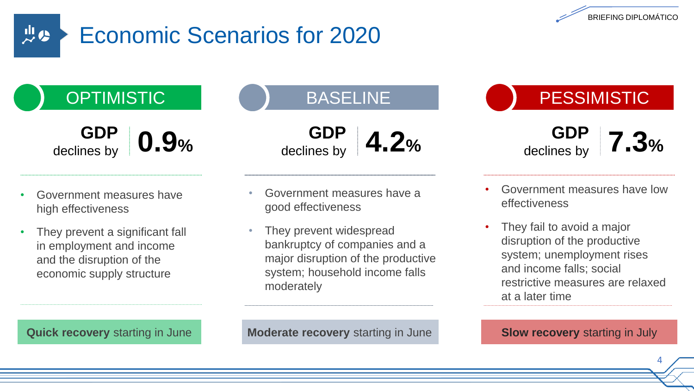

#### 있었 Economic Scenarios for 2020

declines by **0.9%**

**GDP**<br>declines by

- Government measures have high effectiveness
- They prevent a significant fall in employment and income and the disruption of the economic supply structure

**GDP**<br>declines by declines by **4.2%**

- Government measures have a good effectiveness
- They prevent widespread bankruptcy of companies and a major disruption of the productive system; household income falls moderately

OPTIMISTIC ( ) BASELINE ( ) PESSIMISTIC

**GDP**<br>declines by declines by **7.3%**

- Government measures have low effectiveness
- They fail to avoid a major disruption of the productive system; unemployment rises and income falls; social restrictive measures are relaxed at a later time

**Quick recovery** starting in June **Moderate recovery** starting in June

**Slow recovery** starting in July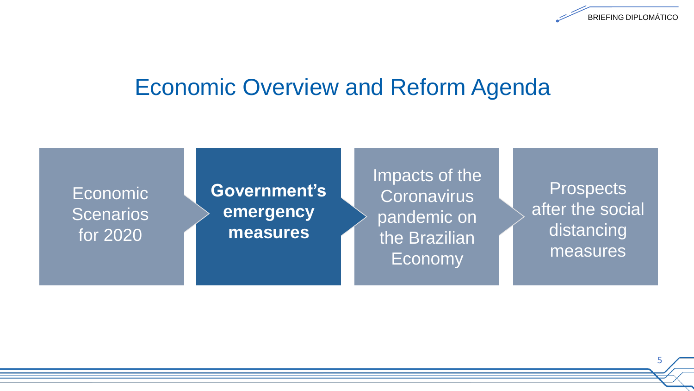

Economic **Scenarios** for 2020

### **Government's emergency measures**

Impacts of the Coronavirus pandemic on the Brazilian Economy

**Prospects** after the social distancing measures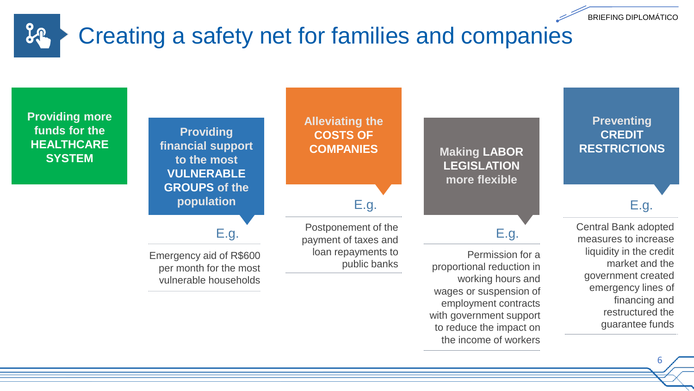#### $20$ Creating a safety net for families and companies



6

BRIEFING DIPLOMÁTICO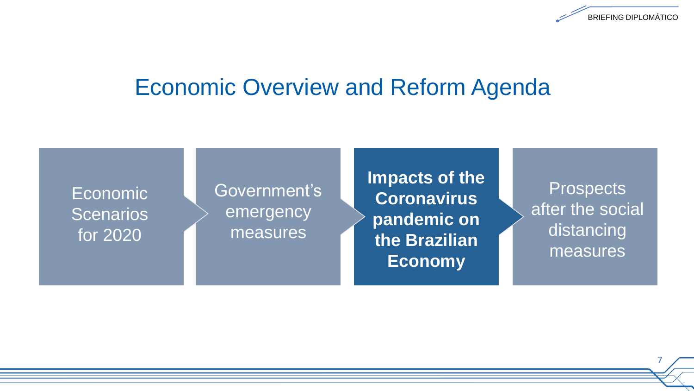

Economic **Scenarios** for 2020

### Government's emergency measures

**Impacts of the Coronavirus pandemic on the Brazilian Economy**

**Prospects** after the social distancing measures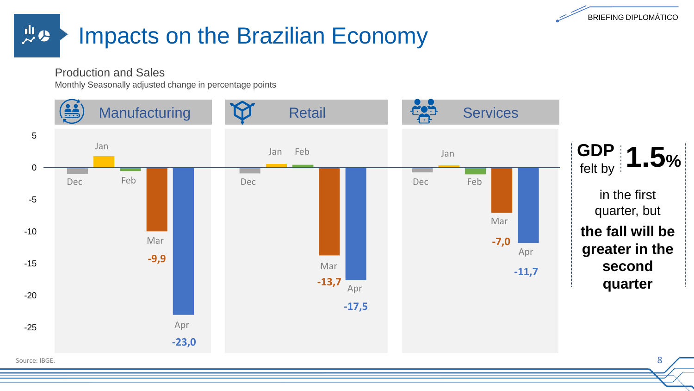

#### 山の Impacts on the Brazilian Economy

Production and Sales

Monthly Seasonally adjusted change in percentage points

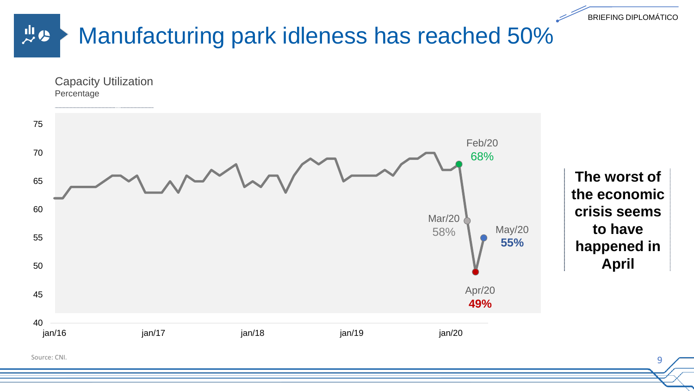

Source: CNI.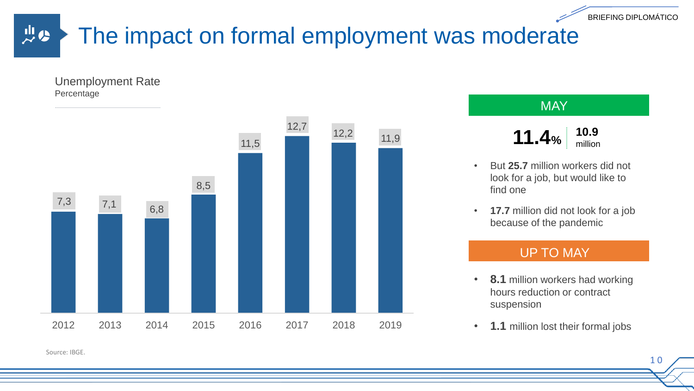BRIEFING DIPLOMÁTICO

1 0

#### 山の The impact on formal employment was moderate

Unemployment Rate Percentage



#### **MAY**

- **11.4**%  $10.9$  million
- But **25.7** million workers did not look for a job, but would like to find one
- **17.7** million did not look for a job because of the pandemic

#### UP TO MAY

- **8.1** million workers had working hours reduction or contract suspension
- **1.1** million lost their formal jobs

Source: IBGE.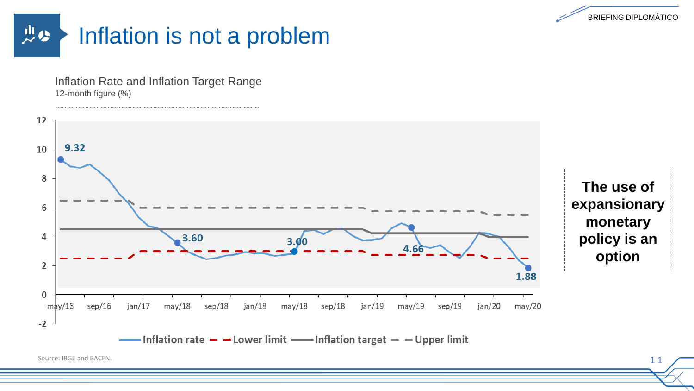



Inflation Rate and Inflation Target Range 12-month figure (%)



Source: IBGE and BACEN.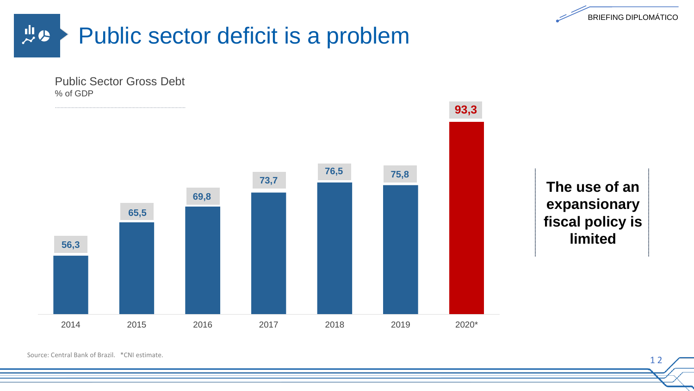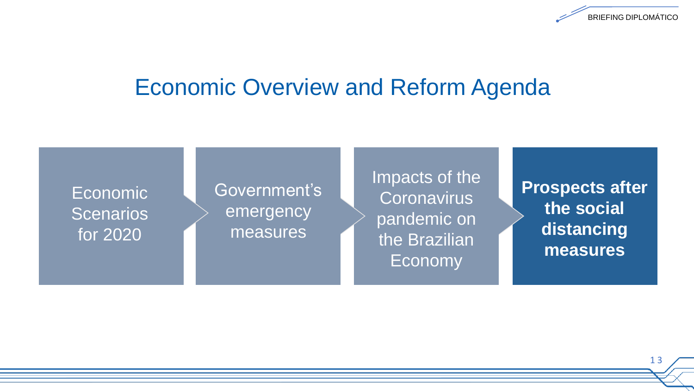

Economic **Scenarios** for 2020

#### Government's emergency measures

Impacts of the **Coronavirus** pandemic on the Brazilian Economy

**Prospects after the social distancing measures**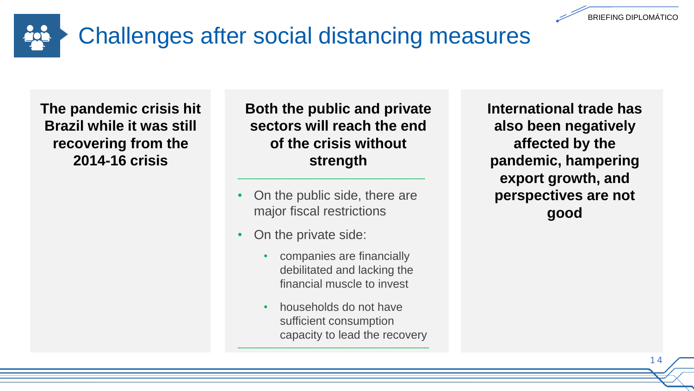

**The pandemic crisis hit Brazil while it was still recovering from the 2014-16 crisis**

**Both the public and private sectors will reach the end of the crisis without strength**

- On the public side, there are major fiscal restrictions
- On the private side:
	- companies are financially debilitated and lacking the financial muscle to invest
	- households do not have sufficient consumption capacity to lead the recovery

**International trade has also been negatively affected by the pandemic, hampering export growth, and perspectives are not good**

BRIEFING DIPLOMÁTICO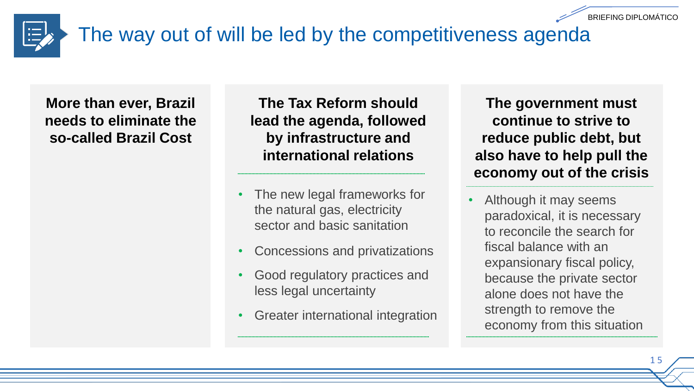

# The way out of will be led by the competitiveness agenda

**More than ever, Brazil needs to eliminate the so-called Brazil Cost**

**The Tax Reform should lead the agenda, followed by infrastructure and international relations**

- The new legal frameworks for the natural gas, electricity sector and basic sanitation
- Concessions and privatizations
- Good regulatory practices and less legal uncertainty
- Greater international integration

**The government must continue to strive to reduce public debt, but also have to help pull the economy out of the crisis** 

• Although it may seems paradoxical, it is necessary to reconcile the search for fiscal balance with an expansionary fiscal policy, because the private sector alone does not have the strength to remove the economy from this situation